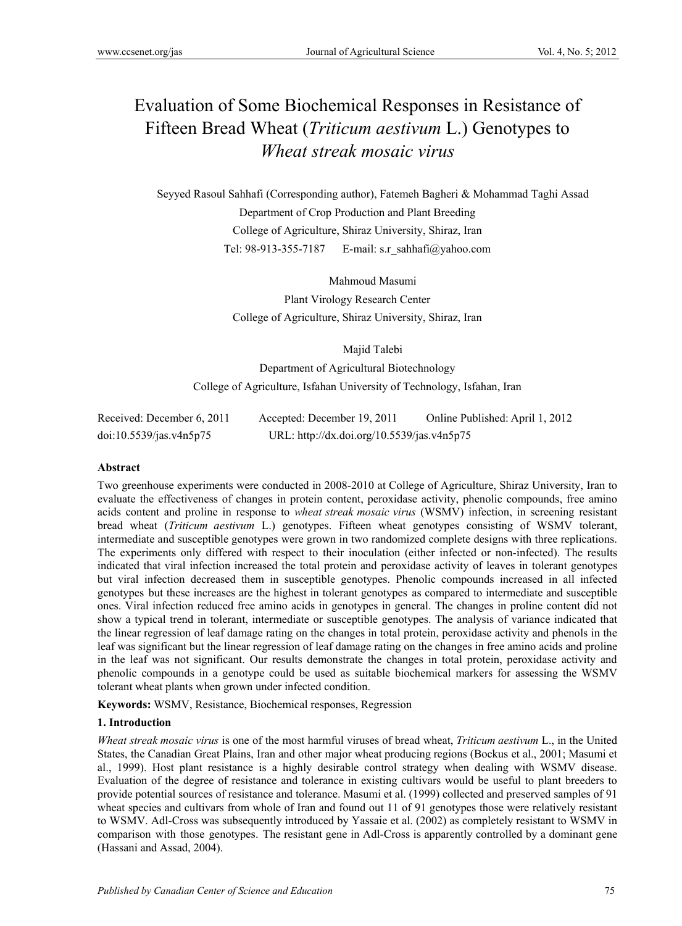# Evaluation of Some Biochemical Responses in Resistance of Fifteen Bread Wheat (*Triticum aestivum* L.) Genotypes to *Wheat streak mosaic virus*

Seyyed Rasoul Sahhafi (Corresponding author), Fatemeh Bagheri & Mohammad Taghi Assad Department of Crop Production and Plant Breeding College of Agriculture, Shiraz University, Shiraz, Iran Tel: 98-913-355-7187 E-mail: s.r\_sahhafi@yahoo.com

> Mahmoud Masumi Plant Virology Research Center College of Agriculture, Shiraz University, Shiraz, Iran

> > Majid Talebi

Department of Agricultural Biotechnology College of Agriculture, Isfahan University of Technology, Isfahan, Iran

| Received: December 6, 2011 | Accepted: December 19, 2011                | Online Published: April 1, 2012 |
|----------------------------|--------------------------------------------|---------------------------------|
| doi:10.5539/jas.v4n5p75    | URL: http://dx.doi.org/10.5539/jas.v4n5p75 |                                 |

#### **Abstract**

Two greenhouse experiments were conducted in 2008-2010 at College of Agriculture, Shiraz University, Iran to evaluate the effectiveness of changes in protein content, peroxidase activity, phenolic compounds, free amino acids content and proline in response to *wheat streak mosaic virus* (WSMV) infection, in screening resistant bread wheat (*Triticum aestivum* L.) genotypes. Fifteen wheat genotypes consisting of WSMV tolerant, intermediate and susceptible genotypes were grown in two randomized complete designs with three replications. The experiments only differed with respect to their inoculation (either infected or non-infected). The results indicated that viral infection increased the total protein and peroxidase activity of leaves in tolerant genotypes but viral infection decreased them in susceptible genotypes. Phenolic compounds increased in all infected genotypes but these increases are the highest in tolerant genotypes as compared to intermediate and susceptible ones. Viral infection reduced free amino acids in genotypes in general. The changes in proline content did not show a typical trend in tolerant, intermediate or susceptible genotypes. The analysis of variance indicated that the linear regression of leaf damage rating on the changes in total protein, peroxidase activity and phenols in the leaf was significant but the linear regression of leaf damage rating on the changes in free amino acids and proline in the leaf was not significant. Our results demonstrate the changes in total protein, peroxidase activity and phenolic compounds in a genotype could be used as suitable biochemical markers for assessing the WSMV tolerant wheat plants when grown under infected condition.

**Keywords:** WSMV, Resistance, Biochemical responses, Regression

# **1. Introduction**

*Wheat streak mosaic virus* is one of the most harmful viruses of bread wheat, *Triticum aestivum* L., in the United States, the Canadian Great Plains, Iran and other major wheat producing regions (Bockus et al., 2001; Masumi et al., 1999). Host plant resistance is a highly desirable control strategy when dealing with WSMV disease. Evaluation of the degree of resistance and tolerance in existing cultivars would be useful to plant breeders to provide potential sources of resistance and tolerance. Masumi et al. (1999) collected and preserved samples of 91 wheat species and cultivars from whole of Iran and found out 11 of 91 genotypes those were relatively resistant to WSMV. Adl-Cross was subsequently introduced by Yassaie et al. (2002) as completely resistant to WSMV in comparison with those genotypes. The resistant gene in Adl-Cross is apparently controlled by a dominant gene (Hassani and Assad, 2004).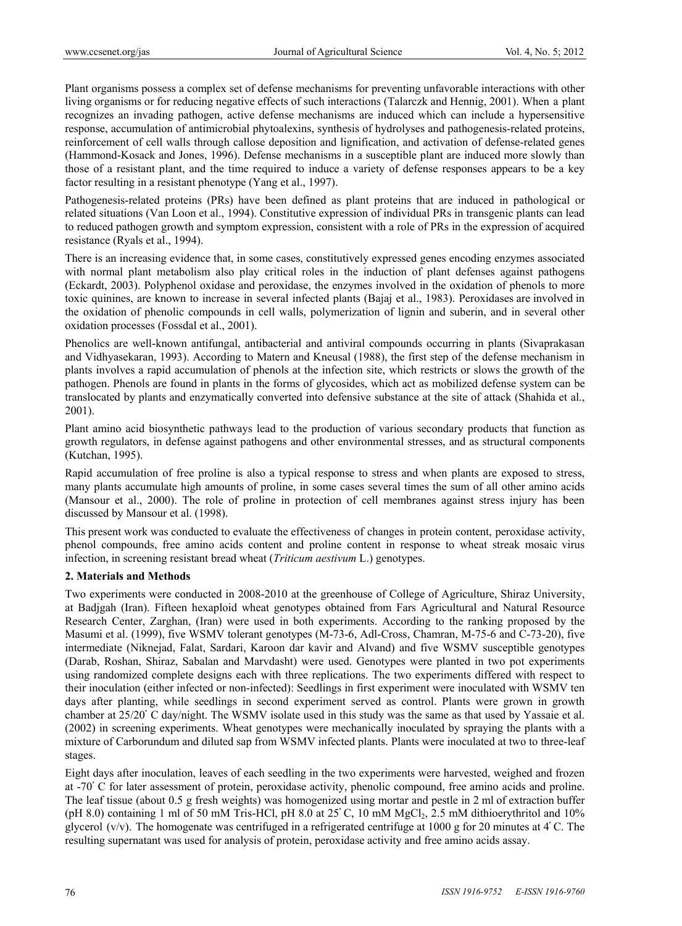Plant organisms possess a complex set of defense mechanisms for preventing unfavorable interactions with other living organisms or for reducing negative effects of such interactions (Talarczk and Hennig, 2001). When a plant recognizes an invading pathogen, active defense mechanisms are induced which can include a hypersensitive response, accumulation of antimicrobial phytoalexins, synthesis of hydrolyses and pathogenesis-related proteins, reinforcement of cell walls through callose deposition and lignification, and activation of defense-related genes (Hammond-Kosack and Jones, 1996). Defense mechanisms in a susceptible plant are induced more slowly than those of a resistant plant, and the time required to induce a variety of defense responses appears to be a key factor resulting in a resistant phenotype (Yang et al., 1997).

Pathogenesis-related proteins (PRs) have been defined as plant proteins that are induced in pathological or related situations (Van Loon et al., 1994). Constitutive expression of individual PRs in transgenic plants can lead to reduced pathogen growth and symptom expression, consistent with a role of PRs in the expression of acquired resistance (Ryals et al., 1994).

There is an increasing evidence that, in some cases, constitutively expressed genes encoding enzymes associated with normal plant metabolism also play critical roles in the induction of plant defenses against pathogens (Eckardt, 2003). Polyphenol oxidase and peroxidase, the enzymes involved in the oxidation of phenols to more toxic quinines, are known to increase in several infected plants (Bajaj et al., 1983). Peroxidases are involved in the oxidation of phenolic compounds in cell walls, polymerization of lignin and suberin, and in several other oxidation processes (Fossdal et al., 2001).

Phenolics are well-known antifungal, antibacterial and antiviral compounds occurring in plants (Sivaprakasan and Vidhyasekaran, 1993). According to Matern and Kneusal (1988), the first step of the defense mechanism in plants involves a rapid accumulation of phenols at the infection site, which restricts or slows the growth of the pathogen. Phenols are found in plants in the forms of glycosides, which act as mobilized defense system can be translocated by plants and enzymatically converted into defensive substance at the site of attack (Shahida et al., 2001).

Plant amino acid biosynthetic pathways lead to the production of various secondary products that function as growth regulators, in defense against pathogens and other environmental stresses, and as structural components (Kutchan, 1995).

Rapid accumulation of free proline is also a typical response to stress and when plants are exposed to stress, many plants accumulate high amounts of proline, in some cases several times the sum of all other amino acids (Mansour et al., 2000). The role of proline in protection of cell membranes against stress injury has been discussed by Mansour et al. (1998).

This present work was conducted to evaluate the effectiveness of changes in protein content, peroxidase activity, phenol compounds, free amino acids content and proline content in response to wheat streak mosaic virus infection, in screening resistant bread wheat (*Triticum aestivum* L.) genotypes.

# **2. Materials and Methods**

Two experiments were conducted in 2008-2010 at the greenhouse of College of Agriculture, Shiraz University, at Badjgah (Iran). Fifteen hexaploid wheat genotypes obtained from Fars Agricultural and Natural Resource Research Center, Zarghan, (Iran) were used in both experiments. According to the ranking proposed by the Masumi et al. (1999), five WSMV tolerant genotypes (M-73-6, Adl-Cross, Chamran, M-75-6 and C-73-20), five intermediate (Niknejad, Falat, Sardari, Karoon dar kavir and Alvand) and five WSMV susceptible genotypes (Darab, Roshan, Shiraz, Sabalan and Marvdasht) were used. Genotypes were planted in two pot experiments using randomized complete designs each with three replications. The two experiments differed with respect to their inoculation (either infected or non-infected): Seedlings in first experiment were inoculated with WSMV ten days after planting, while seedlings in second experiment served as control. Plants were grown in growth chamber at 25/20ْ C day/night. The WSMV isolate used in this study was the same as that used by Yassaie et al. (2002) in screening experiments. Wheat genotypes were mechanically inoculated by spraying the plants with a mixture of Carborundum and diluted sap from WSMV infected plants. Plants were inoculated at two to three-leaf stages.

Eight days after inoculation, leaves of each seedling in the two experiments were harvested, weighed and frozen at -70ْ C for later assessment of protein, peroxidase activity, phenolic compound, free amino acids and proline. The leaf tissue (about 0.5 g fresh weights) was homogenized using mortar and pestle in 2 ml of extraction buffer (pH 8.0) containing 1 ml of 50 mM Tris-HCl, pH 8.0 at  $25^\circ$  C, 10 mM MgCl<sub>2</sub>, 2.5 mM dithioerythritol and 10% glycerol (v/v). The homogenate was centrifuged in a refrigerated centrifuge at 1000 g for 20 minutes at 4ْ C. The resulting supernatant was used for analysis of protein, peroxidase activity and free amino acids assay.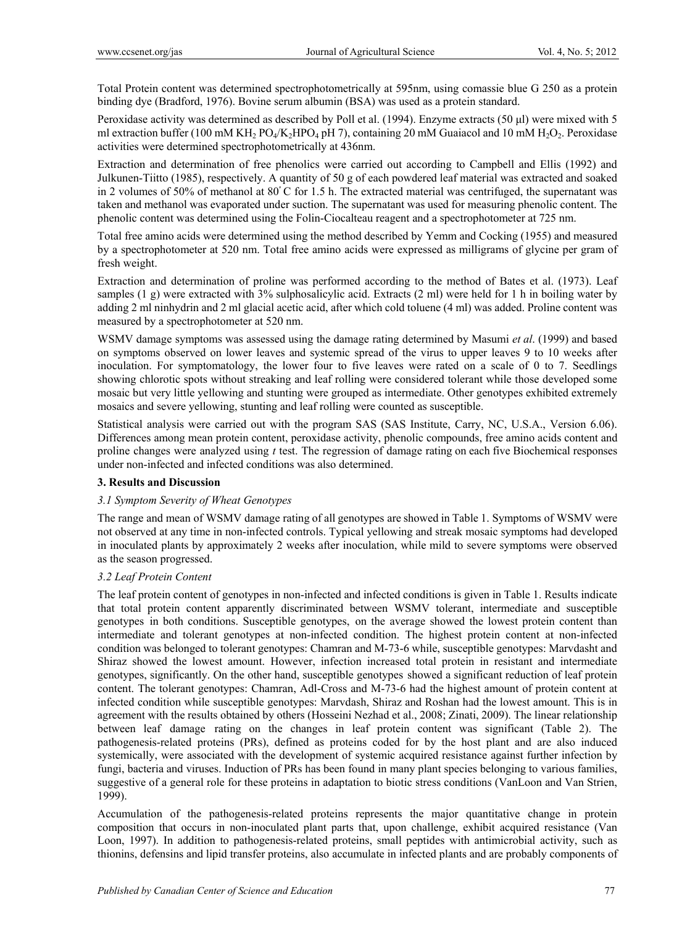Total Protein content was determined spectrophotometrically at 595nm, using comassie blue G 250 as a protein binding dye (Bradford, 1976). Bovine serum albumin (BSA) was used as a protein standard.

Peroxidase activity was determined as described by Poll et al. (1994). Enzyme extracts (50 μl) were mixed with 5 ml extraction buffer (100 mM KH<sub>2</sub> PO<sub>4</sub>/K<sub>2</sub>HPO<sub>4</sub> pH 7), containing 20 mM Guaiacol and 10 mM H<sub>2</sub>O<sub>2</sub>. Peroxidase activities were determined spectrophotometrically at 436nm.

Extraction and determination of free phenolics were carried out according to Campbell and Ellis (1992) and Julkunen-Tiitto (1985), respectively. A quantity of 50 g of each powdered leaf material was extracted and soaked in 2 volumes of 50% of methanol at 80 $\degree$ C for 1.5 h. The extracted material was centrifuged, the supernatant was taken and methanol was evaporated under suction. The supernatant was used for measuring phenolic content. The phenolic content was determined using the Folin-Ciocalteau reagent and a spectrophotometer at 725 nm.

Total free amino acids were determined using the method described by Yemm and Cocking (1955) and measured by a spectrophotometer at 520 nm. Total free amino acids were expressed as milligrams of glycine per gram of fresh weight.

Extraction and determination of proline was performed according to the method of Bates et al. (1973). Leaf samples (1 g) were extracted with 3% sulphosalicylic acid. Extracts (2 ml) were held for 1 h in boiling water by adding 2 ml ninhydrin and 2 ml glacial acetic acid, after which cold toluene (4 ml) was added. Proline content was measured by a spectrophotometer at 520 nm.

WSMV damage symptoms was assessed using the damage rating determined by Masumi *et al*. (1999) and based on symptoms observed on lower leaves and systemic spread of the virus to upper leaves 9 to 10 weeks after inoculation. For symptomatology, the lower four to five leaves were rated on a scale of 0 to 7. Seedlings showing chlorotic spots without streaking and leaf rolling were considered tolerant while those developed some mosaic but very little yellowing and stunting were grouped as intermediate. Other genotypes exhibited extremely mosaics and severe yellowing, stunting and leaf rolling were counted as susceptible.

Statistical analysis were carried out with the program SAS (SAS Institute, Carry, NC, U.S.A., Version 6.06). Differences among mean protein content, peroxidase activity, phenolic compounds, free amino acids content and proline changes were analyzed using *t* test. The regression of damage rating on each five Biochemical responses under non-infected and infected conditions was also determined.

# **3. Results and Discussion**

# *3.1 Symptom Severity of Wheat Genotypes*

The range and mean of WSMV damage rating of all genotypes are showed in Table 1. Symptoms of WSMV were not observed at any time in non-infected controls. Typical yellowing and streak mosaic symptoms had developed in inoculated plants by approximately 2 weeks after inoculation, while mild to severe symptoms were observed as the season progressed.

# *3.2 Leaf Protein Content*

The leaf protein content of genotypes in non-infected and infected conditions is given in Table 1. Results indicate that total protein content apparently discriminated between WSMV tolerant, intermediate and susceptible genotypes in both conditions. Susceptible genotypes, on the average showed the lowest protein content than intermediate and tolerant genotypes at non-infected condition. The highest protein content at non-infected condition was belonged to tolerant genotypes: Chamran and M-73-6 while, susceptible genotypes: Marvdasht and Shiraz showed the lowest amount. However, infection increased total protein in resistant and intermediate genotypes, significantly. On the other hand, susceptible genotypes showed a significant reduction of leaf protein content. The tolerant genotypes: Chamran, Adl-Cross and M-73-6 had the highest amount of protein content at infected condition while susceptible genotypes: Marvdash, Shiraz and Roshan had the lowest amount. This is in agreement with the results obtained by others (Hosseini Nezhad et al., 2008; Zinati, 2009). The linear relationship between leaf damage rating on the changes in leaf protein content was significant (Table 2). The pathogenesis-related proteins (PRs), defined as proteins coded for by the host plant and are also induced systemically, were associated with the development of systemic acquired resistance against further infection by fungi, bacteria and viruses. Induction of PRs has been found in many plant species belonging to various families, suggestive of a general role for these proteins in adaptation to biotic stress conditions (VanLoon and Van Strien, 1999).

Accumulation of the pathogenesis-related proteins represents the major quantitative change in protein composition that occurs in non-inoculated plant parts that, upon challenge, exhibit acquired resistance (Van Loon, 1997). In addition to pathogenesis-related proteins, small peptides with antimicrobial activity, such as thionins, defensins and lipid transfer proteins, also accumulate in infected plants and are probably components of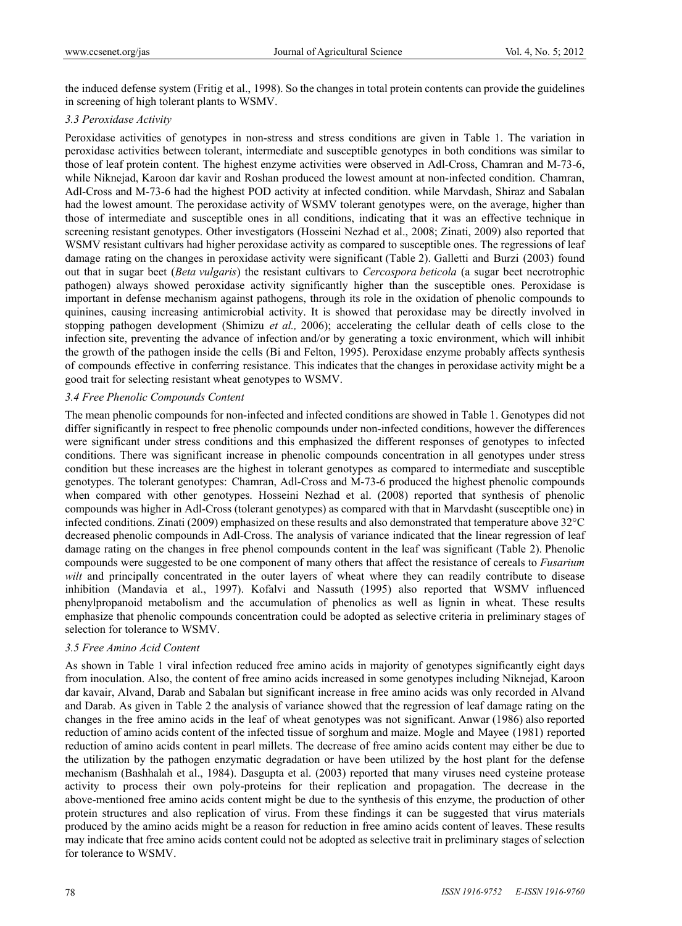the induced defense system (Fritig et al., 1998). So the changes in total protein contents can provide the guidelines in screening of high tolerant plants to WSMV.

#### *3.3 Peroxidase Activity*

Peroxidase activities of genotypes in non-stress and stress conditions are given in Table 1. The variation in peroxidase activities between tolerant, intermediate and susceptible genotypes in both conditions was similar to those of leaf protein content. The highest enzyme activities were observed in Adl-Cross, Chamran and M-73-6, while Niknejad, Karoon dar kavir and Roshan produced the lowest amount at non-infected condition. Chamran, Adl-Cross and M-73-6 had the highest POD activity at infected condition. while Marvdash, Shiraz and Sabalan had the lowest amount. The peroxidase activity of WSMV tolerant genotypes were, on the average, higher than those of intermediate and susceptible ones in all conditions, indicating that it was an effective technique in screening resistant genotypes. Other investigators (Hosseini Nezhad et al., 2008; Zinati, 2009) also reported that WSMV resistant cultivars had higher peroxidase activity as compared to susceptible ones. The regressions of leaf damage rating on the changes in peroxidase activity were significant (Table 2). Galletti and Burzi (2003) found out that in sugar beet (*Beta vulgaris*) the resistant cultivars to *Cercospora beticola* (a sugar beet necrotrophic pathogen) always showed peroxidase activity significantly higher than the susceptible ones. Peroxidase is important in defense mechanism against pathogens, through its role in the oxidation of phenolic compounds to quinines, causing increasing antimicrobial activity. It is showed that peroxidase may be directly involved in stopping pathogen development (Shimizu *et al.,* 2006); accelerating the cellular death of cells close to the infection site, preventing the advance of infection and/or by generating a toxic environment, which will inhibit the growth of the pathogen inside the cells (Bi and Felton, 1995). Peroxidase enzyme probably affects synthesis of compounds effective in conferring resistance. This indicates that the changes in peroxidase activity might be a good trait for selecting resistant wheat genotypes to WSMV.

#### *3.4 Free Phenolic Compounds Content*

The mean phenolic compounds for non-infected and infected conditions are showed in Table 1. Genotypes did not differ significantly in respect to free phenolic compounds under non-infected conditions, however the differences were significant under stress conditions and this emphasized the different responses of genotypes to infected conditions. There was significant increase in phenolic compounds concentration in all genotypes under stress condition but these increases are the highest in tolerant genotypes as compared to intermediate and susceptible genotypes. The tolerant genotypes: Chamran, Adl-Cross and M-73-6 produced the highest phenolic compounds when compared with other genotypes. Hosseini Nezhad et al. (2008) reported that synthesis of phenolic compounds was higher in Adl-Cross (tolerant genotypes) as compared with that in Marvdasht (susceptible one) in infected conditions. Zinati (2009) emphasized on these results and also demonstrated that temperature above 32°C decreased phenolic compounds in Adl-Cross. The analysis of variance indicated that the linear regression of leaf damage rating on the changes in free phenol compounds content in the leaf was significant (Table 2). Phenolic compounds were suggested to be one component of many others that affect the resistance of cereals to *Fusarium wilt* and principally concentrated in the outer layers of wheat where they can readily contribute to disease inhibition (Mandavia et al., 1997). Kofalvi and Nassuth (1995) also reported that WSMV influenced phenylpropanoid metabolism and the accumulation of phenolics as well as lignin in wheat. These results emphasize that phenolic compounds concentration could be adopted as selective criteria in preliminary stages of selection for tolerance to WSMV.

# *3.5 Free Amino Acid Content*

As shown in Table 1 viral infection reduced free amino acids in majority of genotypes significantly eight days from inoculation. Also, the content of free amino acids increased in some genotypes including Niknejad, Karoon dar kavair, Alvand, Darab and Sabalan but significant increase in free amino acids was only recorded in Alvand and Darab. As given in Table 2 the analysis of variance showed that the regression of leaf damage rating on the changes in the free amino acids in the leaf of wheat genotypes was not significant. Anwar (1986) also reported reduction of amino acids content of the infected tissue of sorghum and maize. Mogle and Mayee (1981) reported reduction of amino acids content in pearl millets. The decrease of free amino acids content may either be due to the utilization by the pathogen enzymatic degradation or have been utilized by the host plant for the defense mechanism (Bashhalah et al., 1984). Dasgupta et al. (2003) reported that many viruses need cysteine protease activity to process their own poly-proteins for their replication and propagation. The decrease in the above-mentioned free amino acids content might be due to the synthesis of this enzyme, the production of other protein structures and also replication of virus. From these findings it can be suggested that virus materials produced by the amino acids might be a reason for reduction in free amino acids content of leaves. These results may indicate that free amino acids content could not be adopted as selective trait in preliminary stages of selection for tolerance to WSMV.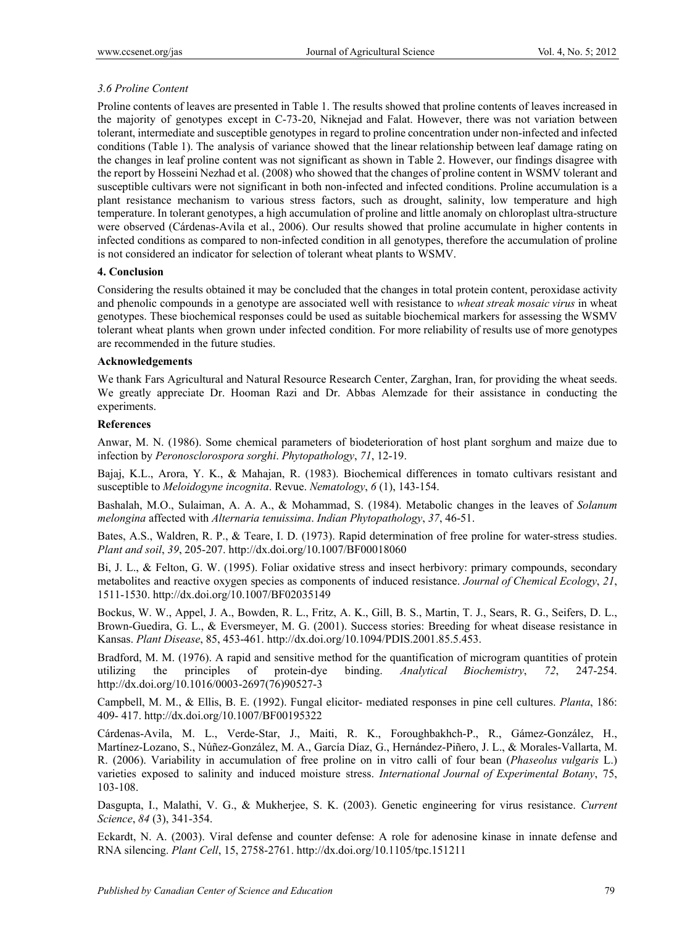# *3.6 Proline Content*

Proline contents of leaves are presented in Table 1. The results showed that proline contents of leaves increased in the majority of genotypes except in C-73-20, Niknejad and Falat. However, there was not variation between tolerant, intermediate and susceptible genotypes in regard to proline concentration under non-infected and infected conditions (Table 1). The analysis of variance showed that the linear relationship between leaf damage rating on the changes in leaf proline content was not significant as shown in Table 2. However, our findings disagree with the report by Hosseini Nezhad et al. (2008) who showed that the changes of proline content in WSMV tolerant and susceptible cultivars were not significant in both non-infected and infected conditions. Proline accumulation is a plant resistance mechanism to various stress factors, such as drought, salinity, low temperature and high temperature. In tolerant genotypes, a high accumulation of proline and little anomaly on chloroplast ultra-structure were observed (Cárdenas-Avila et al., 2006). Our results showed that proline accumulate in higher contents in infected conditions as compared to non-infected condition in all genotypes, therefore the accumulation of proline is not considered an indicator for selection of tolerant wheat plants to WSMV.

# **4. Conclusion**

Considering the results obtained it may be concluded that the changes in total protein content, peroxidase activity and phenolic compounds in a genotype are associated well with resistance to *wheat streak mosaic virus* in wheat genotypes. These biochemical responses could be used as suitable biochemical markers for assessing the WSMV tolerant wheat plants when grown under infected condition. For more reliability of results use of more genotypes are recommended in the future studies.

# **Acknowledgements**

We thank Fars Agricultural and Natural Resource Research Center, Zarghan, Iran, for providing the wheat seeds. We greatly appreciate Dr. Hooman Razi and Dr. Abbas Alemzade for their assistance in conducting the experiments.

# **References**

Anwar, M. N. (1986). Some chemical parameters of biodeterioration of host plant sorghum and maize due to infection by *Peronosclorospora sorghi*. *Phytopathology*, *71*, 12-19.

Bajaj, K.L., Arora, Y. K., & Mahajan, R. (1983). Biochemical differences in tomato cultivars resistant and susceptible to *Meloidogyne incognita*. Revue. *Nematology*, *6* (1), 143-154.

Bashalah, M.O., Sulaiman, A. A. A., & Mohammad, S. (1984). Metabolic changes in the leaves of *Solanum melongina* affected with *Alternaria tenuissima*. *Indian Phytopathology*, *37*, 46-51.

Bates, A.S., Waldren, R. P., & Teare, I. D. (1973). Rapid determination of free proline for water-stress studies. *Plant and soil*, *39*, 205-207. http://dx.doi.org/10.1007/BF00018060

Bi, J. L., & Felton, G. W. (1995). Foliar oxidative stress and insect herbivory: primary compounds, secondary metabolites and reactive oxygen species as components of induced resistance. *Journal of Chemical Ecology*, *21*, 1511-1530. http://dx.doi.org/10.1007/BF02035149

Bockus, W. W., Appel, J. A., Bowden, R. L., Fritz, A. K., Gill, B. S., Martin, T. J., Sears, R. G., Seifers, D. L., Brown-Guedira, G. L., & Eversmeyer, M. G. (2001). Success stories: Breeding for wheat disease resistance in Kansas. *Plant Disease*, 85, 453-461. http://dx.doi.org/10.1094/PDIS.2001.85.5.453.

Bradford, M. M. (1976). A rapid and sensitive method for the quantification of microgram quantities of protein utilizing the principles of protein-dye binding. *Analytical Biochemistry*, *72*, 247-254. http://dx.doi.org/10.1016/0003-2697(76)90527-3

Campbell, M. M., & Ellis, B. E. (1992). Fungal elicitor- mediated responses in pine cell cultures. *Planta*, 186: 409- 417. http://dx.doi.org/10.1007/BF00195322

Cárdenas-Avila, M. L., Verde-Star, J., Maiti, R. K., Foroughbakhch-P., R., Gámez-González, H., Martínez-Lozano, S., Núñez-González, M. A., García Díaz, G., Hernández-Piñero, J. L., & Morales-Vallarta, M. R. (2006). Variability in accumulation of free proline on in vitro calli of four bean (*Phaseolus vulgaris* L.) varieties exposed to salinity and induced moisture stress. *International Journal of Experimental Botany*, 75, 103-108.

Dasgupta, I., Malathi, V. G., & Mukherjee, S. K. (2003). Genetic engineering for virus resistance. *Current Science*, *84* (3), 341-354.

Eckardt, N. A. (2003). Viral defense and counter defense: A role for adenosine kinase in innate defense and RNA silencing. *Plant Cell*, 15, 2758-2761. http://dx.doi.org/10.1105/tpc.151211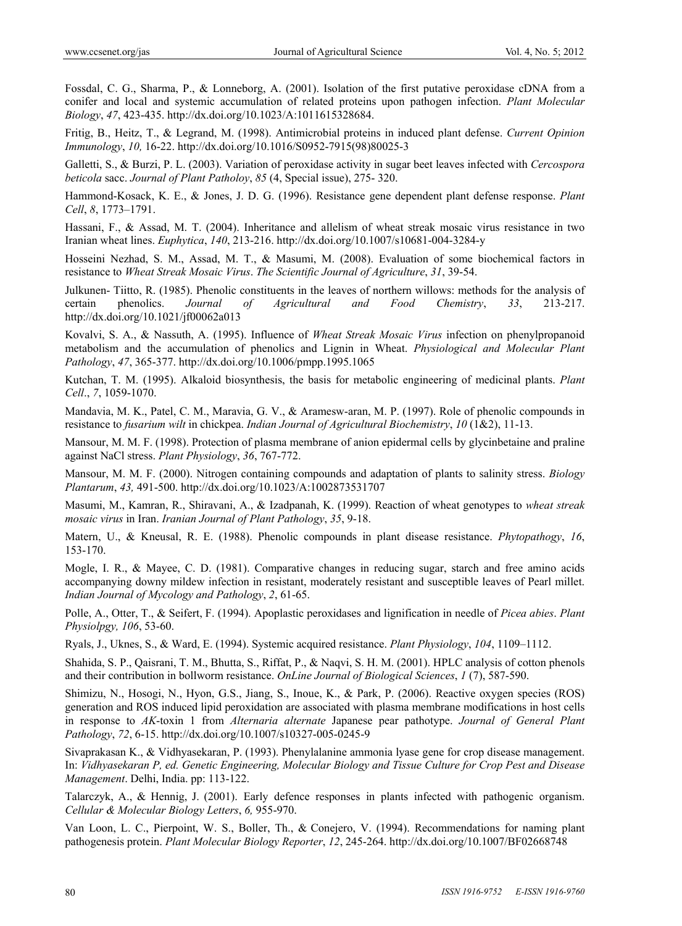Fossdal, C. G., Sharma, P., & Lonneborg, A. (2001). Isolation of the first putative peroxidase cDNA from a conifer and local and systemic accumulation of related proteins upon pathogen infection. *Plant Molecular Biology*, *47*, 423-435. http://dx.doi.org/10.1023/A:1011615328684.

Fritig, B., Heitz, T., & Legrand, M. (1998). Antimicrobial proteins in induced plant defense. *Current Opinion Immunology*, *10,* 16-22. http://dx.doi.org/10.1016/S0952-7915(98)80025-3

Galletti, S., & Burzi, P. L. (2003). Variation of peroxidase activity in sugar beet leaves infected with *Cercospora beticola* sacc. *Journal of Plant Patholoy*, *85* (4, Special issue), 275- 320.

Hammond-Kosack, K. E., & Jones, J. D. G. (1996). Resistance gene dependent plant defense response. *Plant Cell*, *8*, 1773–1791.

Hassani, F., & Assad, M. T. (2004). Inheritance and allelism of wheat streak mosaic virus resistance in two Iranian wheat lines. *Euphytica*, *140*, 213-216. http://dx.doi.org/10.1007/s10681-004-3284-y

Hosseini Nezhad, S. M., Assad, M. T., & Masumi, M. (2008). Evaluation of some biochemical factors in resistance to *Wheat Streak Mosaic Virus*. *The Scientific Journal of Agriculture*, *31*, 39-54.

Julkunen- Tiitto, R. (1985). Phenolic constituents in the leaves of northern willows: methods for the analysis of certain phenolics. *Journal of Agricultural and Food Chemistry*, *33*, 213-217. http://dx.doi.org/10.1021/jf00062a013

Kovalvi, S. A., & Nassuth, A. (1995). Influence of *Wheat Streak Mosaic Virus* infection on phenylpropanoid metabolism and the accumulation of phenolics and Lignin in Wheat. *Physiological and Molecular Plant Pathology*, *47*, 365-377. http://dx.doi.org/10.1006/pmpp.1995.1065

Kutchan, T. M. (1995). Alkaloid biosynthesis, the basis for metabolic engineering of medicinal plants. *Plant Cell*., *7*, 1059-1070.

Mandavia, M. K., Patel, C. M., Maravia, G. V., & Aramesw-aran, M. P. (1997). Role of phenolic compounds in resistance to *fusarium wilt* in chickpea. *Indian Journal of Agricultural Biochemistry*, *10* (1&2), 11-13.

Mansour, M. M. F. (1998). Protection of plasma membrane of anion epidermal cells by glycinbetaine and praline against NaCl stress. *Plant Physiology*, *36*, 767-772.

Mansour, M. M. F. (2000). Nitrogen containing compounds and adaptation of plants to salinity stress. *Biology Plantarum*, *43,* 491-500. http://dx.doi.org/10.1023/A:1002873531707

Masumi, M., Kamran, R., Shiravani, A., & Izadpanah, K. (1999). Reaction of wheat genotypes to *wheat streak mosaic virus* in Iran. *Iranian Journal of Plant Pathology*, *35*, 9-18.

Matern, U., & Kneusal, R. E. (1988). Phenolic compounds in plant disease resistance. *Phytopathogy*, *16*, 153-170.

Mogle, I. R., & Mayee, C. D. (1981). Comparative changes in reducing sugar, starch and free amino acids accompanying downy mildew infection in resistant, moderately resistant and susceptible leaves of Pearl millet. *Indian Journal of Mycology and Pathology*, *2*, 61-65.

Polle, A., Otter, T., & Seifert, F. (1994). Apoplastic peroxidases and lignification in needle of *Picea abies*. *Plant Physiolpgy, 106*, 53-60.

Ryals, J., Uknes, S., & Ward, E. (1994). Systemic acquired resistance. *Plant Physiology*, *104*, 1109–1112.

Shahida, S. P., Qaisrani, T. M., Bhutta, S., Riffat, P., & Naqvi, S. H. M. (2001). HPLC analysis of cotton phenols and their contribution in bollworm resistance. *OnLine Journal of Biological Sciences*, *1* (7), 587-590.

Shimizu, N., Hosogi, N., Hyon, G.S., Jiang, S., Inoue, K., & Park, P. (2006). Reactive oxygen species (ROS) generation and ROS induced lipid peroxidation are associated with plasma membrane modifications in host cells in response to *AK*-toxin 1 from *Alternaria alternate* Japanese pear pathotype. *Journal of General Plant Pathology*, *72*, 6-15. http://dx.doi.org/10.1007/s10327-005-0245-9

Sivaprakasan K., & Vidhyasekaran, P. (1993). Phenylalanine ammonia lyase gene for crop disease management. In: *Vidhyasekaran P, ed. Genetic Engineering, Molecular Biology and Tissue Culture for Crop Pest and Disease Management*. Delhi, India. pp: 113-122.

Talarczyk, A., & Hennig, J. (2001). Early defence responses in plants infected with pathogenic organism. *Cellular & Molecular Biology Letters*, *6,* 955-970.

Van Loon, L. C., Pierpoint, W. S., Boller, Th., & Conejero, V. (1994). Recommendations for naming plant pathogenesis protein. *Plant Molecular Biology Reporter*, *12*, 245-264. http://dx.doi.org/10.1007/BF02668748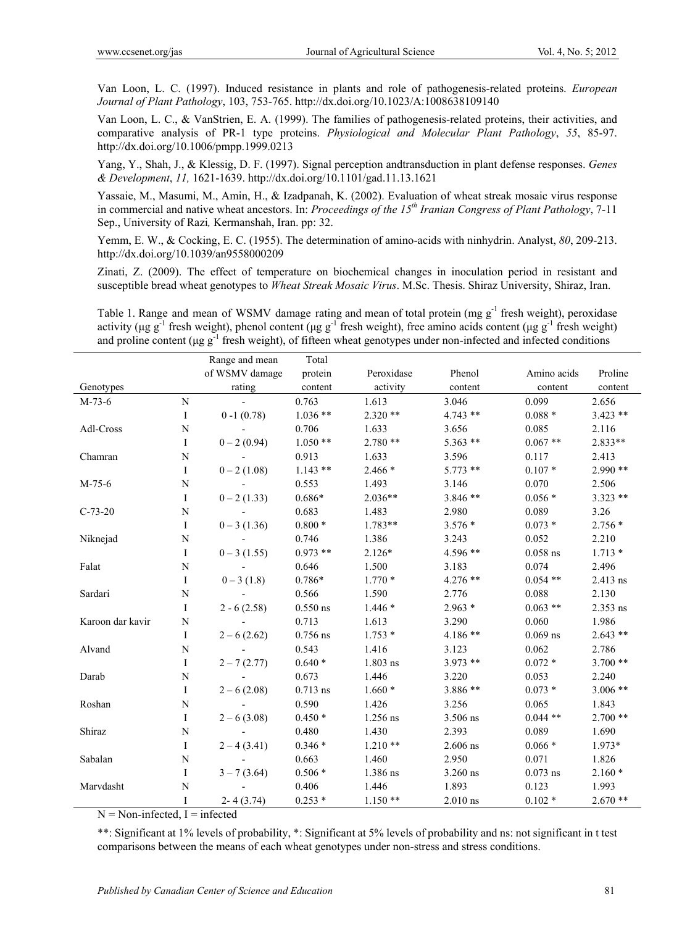Van Loon, L. C. (1997). Induced resistance in plants and role of pathogenesis-related proteins. *European Journal of Plant Pathology*, 103, 753-765. http://dx.doi.org/10.1023/A:1008638109140

Van Loon, L. C., & VanStrien, E. A. (1999). The families of pathogenesis-related proteins, their activities, and comparative analysis of PR-1 type proteins. *Physiological and Molecular Plant Pathology*, *55*, 85-97. http://dx.doi.org/10.1006/pmpp.1999.0213

Yang, Y., Shah, J., & Klessig, D. F. (1997). Signal perception andtransduction in plant defense responses. *Genes & Development*, *11,* 1621-1639. http://dx.doi.org/10.1101/gad.11.13.1621

Yassaie, M., Masumi, M., Amin, H., & Izadpanah, K. (2002). Evaluation of wheat streak mosaic virus response in commercial and native wheat ancestors. In: *Proceedings of the 15th Iranian Congress of Plant Pathology*, 7-11 Sep., University of Razi*,* Kermanshah, Iran. pp: 32.

Yemm, E. W., & Cocking, E. C. (1955). The determination of amino-acids with ninhydrin. Analyst, *80*, 209-213. http://dx.doi.org/10.1039/an9558000209

Zinati, Z. (2009). The effect of temperature on biochemical changes in inoculation period in resistant and susceptible bread wheat genotypes to *Wheat Streak Mosaic Virus*. M.Sc. Thesis. Shiraz University, Shiraz, Iran.

Table 1. Range and mean of WSMV damage rating and mean of total protein (mg  $g^{-1}$  fresh weight), peroxidase activity (μg g<sup>-1</sup> fresh weight), phenol content (μg g<sup>-1</sup> fresh weight), free amino acids content (μg g<sup>-1</sup> fresh weight) and proline content ( $\mu$ g g<sup>-1</sup> fresh weight), of fifteen wheat genotypes under non-infected and infected conditions

|                  |             | Range and mean           | Total               |            |            |             |            |
|------------------|-------------|--------------------------|---------------------|------------|------------|-------------|------------|
|                  |             | of WSMV damage           | protein             | Peroxidase | Phenol     | Amino acids | Proline    |
| Genotypes        |             | rating                   | content             | activity   | content    | content     | content    |
| M-73-6           | ${\bf N}$   |                          | 0.763               | 1.613      | 3.046      | 0.099       | 2.656      |
|                  | I           | $0 - 1 (0.78)$           | $1.036**$           | $2.320**$  | $4.743**$  | $0.088 *$   | $3.423**$  |
| Adl-Cross        | N           | $\overline{\phantom{a}}$ | 0.706               | 1.633      | 3.656      | 0.085       | 2.116      |
|                  | I           | $0 - 2(0.94)$            | $1.050**$           | $2.780**$  | $5.363**$  | $0.067**$   | 2.833**    |
| Chamran          | $\mathbf N$ | $\overline{\phantom{a}}$ | 0.913               | 1.633      | 3.596      | 0.117       | 2.413      |
|                  | I           | $0 - 2(1.08)$            | $1.143**$           | $2.466*$   | $5.773**$  | $0.107*$    | $2.990**$  |
| $M-75-6$         | N           | $\overline{\phantom{a}}$ | 0.553               | 1.493      | 3.146      | 0.070       | 2.506      |
|                  | I           | $0 - 2(1.33)$            | $0.686*$            | $2.036**$  | $3.846**$  | $0.056*$    | $3.323**$  |
| $C-73-20$        | $\mathbf N$ | $\overline{\phantom{a}}$ | 0.683               | 1.483      | 2.980      | 0.089       | 3.26       |
|                  | I           | $0 - 3(1.36)$            | $0.800*$            | $1.783**$  | $3.576*$   | $0.073*$    | $2.756*$   |
| Niknejad         | N           | $\blacksquare$           | 0.746               | 1.386      | 3.243      | 0.052       | 2.210      |
|                  | I           | $0 - 3(1.55)$            | $0.973**$           | $2.126*$   | $4.596**$  | $0.058$ ns  | $1.713*$   |
| Falat            | $\mathbf N$ | $\overline{\phantom{a}}$ | 0.646               | 1.500      | 3.183      | 0.074       | 2.496      |
|                  | I           | $0 - 3(1.8)$             | 0.786*              | $1.770*$   | $4.276**$  | $0.054$ **  | 2.413 ns   |
| Sardari          | $\mathbf N$ | $\blacksquare$           | 0.566               | 1.590      | 2.776      | 0.088       | 2.130      |
|                  | I           | $2 - 6(2.58)$            | $0.550$ ns          | $1.446*$   | $2.963*$   | $0.063$ **  | 2.353 ns   |
| Karoon dar kavir | $\mathbf N$ |                          | 0.713               | 1.613      | 3.290      | 0.060       | 1.986      |
|                  | $\bf I$     | $2 - 6(2.62)$            | $0.756~\mathrm{ns}$ | $1.753*$   | 4.186**    | $0.069$ ns  | $2.643**$  |
| Alvand           | $\mathbf N$ | $\mathbf{r}$             | 0.543               | 1.416      | 3.123      | 0.062       | 2.786      |
|                  | I           | $2 - 7(2.77)$            | $0.640*$            | 1.803 ns   | $3.973**$  | $0.072 *$   | $3.700**$  |
| Darab            | N           | $\blacksquare$           | 0.673               | 1.446      | 3.220      | 0.053       | 2.240      |
|                  | I           | $2 - 6(2.08)$            | $0.713$ ns          | $1.660*$   | 3.886 **   | $0.073*$    | $3.006$ ** |
| Roshan           | N           | $\blacksquare$           | 0.590               | 1.426      | 3.256      | 0.065       | 1.843      |
|                  | I           | $2 - 6(3.08)$            | $0.450*$            | $1.256$ ns | 3.506 ns   | $0.044**$   | $2.700**$  |
| Shiraz           | $\mathbf N$ |                          | 0.480               | 1.430      | 2.393      | 0.089       | 1.690      |
|                  | I           | $2 - 4(3.41)$            | $0.346*$            | $1.210**$  | 2.606 ns   | $0.066*$    | 1.973*     |
| Sabalan          | N           | $\overline{a}$           | 0.663               | 1.460      | 2.950      | 0.071       | 1.826      |
|                  | I           | $3 - 7(3.64)$            | $0.506*$            | 1.386 ns   | $3.260$ ns | $0.073$ ns  | $2.160*$   |
| Marvdasht        | N           |                          | 0.406               | 1.446      | 1.893      | 0.123       | 1.993      |
|                  | I           | $2 - 4(3.74)$            | $0.253*$            | $1.150**$  | $2.010$ ns | $0.102*$    | $2.670**$  |

 $N = Non-infected, I = infected$ 

\*\*: Significant at 1% levels of probability, \*: Significant at 5% levels of probability and ns: not significant in t test comparisons between the means of each wheat genotypes under non-stress and stress conditions.